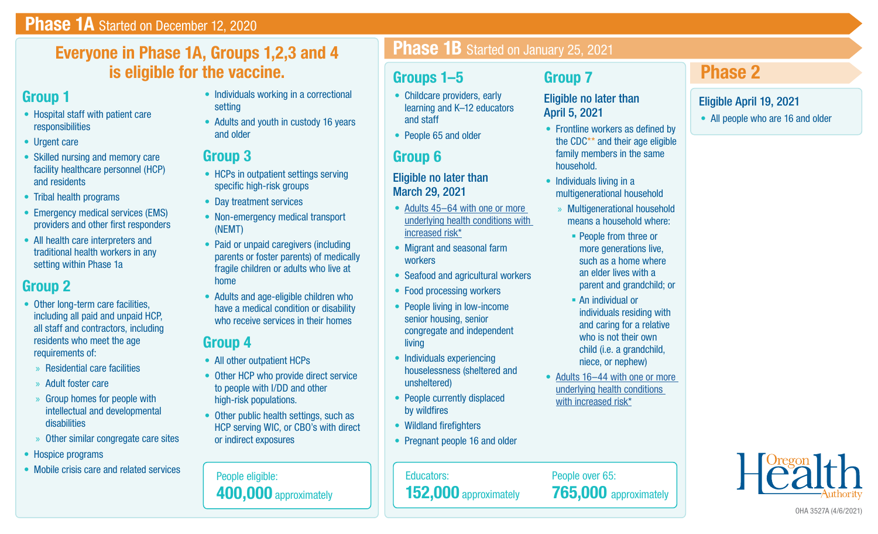# Phase 1A Started on December 12, 2020

# Everyone in Phase 1A, Groups 1,2,3 and 4 is eligible for the vaccine.

# Group 1

- Hospital staff with patient care responsibilities
- Urgent care
- Skilled nursing and memory care facility healthcare personnel (HCP) and residents
- Tribal health programs
- Emergency medical services (EMS) providers and other first responders
- All health care interpreters and traditional health workers in any setting within Phase 1a

## Group 2

- Other long-term care facilities, including all paid and unpaid HCP, all staff and contractors, including residents who meet the age requirements of:
	- » Residential care facilities
	- » Adult foster care
	- » Group homes for people with intellectual and developmental disabilities
	- » Other similar congregate care sites
- Hospice programs
- Mobile crisis care and related services
- Individuals working in a correctional setting
- Adults and youth in custody 16 years and older

## Group 3

- HCPs in outpatient settings serving specific high-risk groups
- Day treatment services
- Non-emergency medical transport (NEMT)
- Paid or unpaid caregivers (including parents or foster parents) of medically fragile children or adults who live at home
- Adults and age-eligible children who have a medical condition or disability who receive services in their homes

## Group 4

- All other outpatient HCPs
- Other HCP who provide direct service to people with I/DD and other high-risk populations.
- Other public health settings, such as HCP serving WIC, or CBO's with direct or indirect exposures

People eligible: 400,000 approximately

# Phase 1B Started on January 25, 2021

## Groups 1–5

- Childcare providers, early learning and K–12 educators and staff
- People 65 and older

# Group 6

#### Eligible no later than March 29, 2021

- [Adults 45–64 with one or more](https://sharedsystems.dhsoha.state.or.us/DHSForms/Served/le3527C.pdf) [underlying health conditions with](https://sharedsystems.dhsoha.state.or.us/DHSForms/Served/le3527C.pdf) [increased risk\\*](https://sharedsystems.dhsoha.state.or.us/DHSForms/Served/le3527C.pdf)
- Migrant and seasonal farm workers
- Seafood and agricultural workers
- Food processing workers
- People living in low-income senior housing, senior congregate and independent living
- Individuals experiencing houselessness (sheltered and unsheltered)
- People currently displaced by wildfires
- Wildland firefighters
- Pregnant people 16 and older

Educators: 152,000 approximately Group 7

Eligible no later than April 5, 2021

- Frontline workers as defined by the CDC\*\* and their age eligible family members in the same household.
- Individuals living in a multigenerational household
	- » Multigenerational household means a household where:
		- People from three or more generations live, such as a home where an elder lives with a parent and grandchild; or
		- An individual or individuals residing with and caring for a relative who is not their own child (i.e. a grandchild, niece, or nephew)
- [Adults 16–44 with one or more](https://sharedsystems.dhsoha.state.or.us/DHSForms/Served/le3527C.pdf) [underlying health conditions](https://sharedsystems.dhsoha.state.or.us/DHSForms/Served/le3527C.pdf) [with increased risk\\*](https://sharedsystems.dhsoha.state.or.us/DHSForms/Served/le3527C.pdf)

765,000 approximately

People over 65:

# Phase 2

#### Eligible April 19, 2021

• All people who are 16 and older



OHA 3527A (4/6/2021)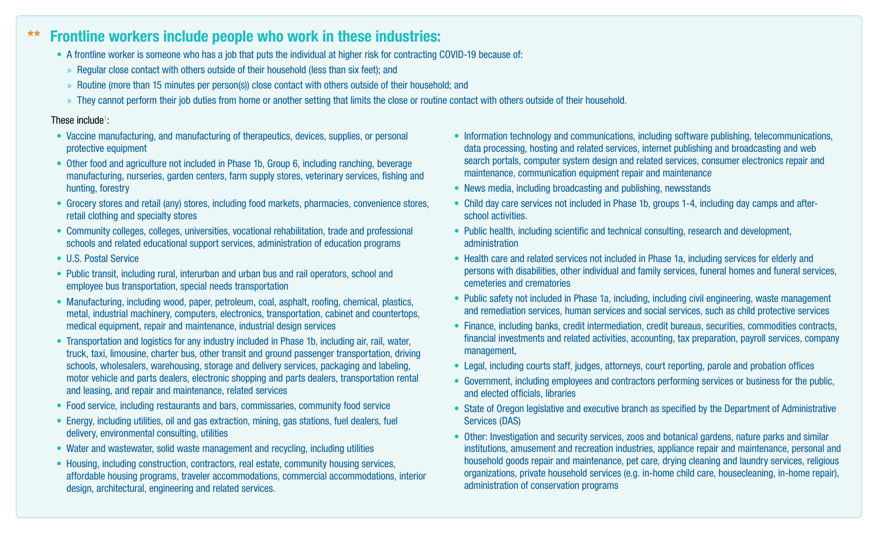### Frontline workers include people who work in these industries:

- A frontline worker is someone who has a job that puts the individual at higher risk for contracting COVID-19 because of:
	- » Regular close contact with others outside of their household (less than six feet); and
	- » Routine (more than 15 minutes per person(s)) close contact with others outside of their household; and
	- » They cannot perform their job duties from home or another setting that limits the close or routine contact with others outside of their household.

#### These include† :

- Vaccine manufacturing, and manufacturing of therapeutics, devices, supplies, or personal protective equipment
- Other food and agriculture not included in Phase 1b, Group 6, including ranching, beverage manufacturing, nurseries, garden centers, farm supply stores, veterinary services, fishing and hunting, forestry
- Grocery stores and retail (any) stores, including food markets, pharmacies, convenience stores, retail clothing and specialty stores
- Community colleges, colleges, universities, vocational rehabilitation, trade and professional schools and related educational support services, administration of education programs
- U.S. Postal Service
- Public transit, including rural, interurban and urban bus and rail operators, school and employee bus transportation, special needs transportation
- Manufacturing, including wood, paper, petroleum, coal, asphalt, roofing, chemical, plastics, metal, industrial machinery, computers, electronics, transportation, cabinet and countertops, medical equipment, repair and maintenance, industrial design services
- Transportation and logistics for any industry included in Phase 1b, including air, rail, water, truck, taxi, limousine, charter bus, other transit and ground passenger transportation, driving schools, wholesalers, warehousing, storage and delivery services, packaging and labeling, motor vehicle and parts dealers, electronic shopping and parts dealers, transportation rental and leasing, and repair and maintenance, related services
- Food service, including restaurants and bars, commissaries, community food service
- Energy, including utilities, oil and gas extraction, mining, gas stations, fuel dealers, fuel delivery, environmental consulting, utilities
- Water and wastewater, solid waste management and recycling, including utilities
- Housing, including construction, contractors, real estate, community housing services, affordable housing programs, traveler accommodations, commercial accommodations, interior design, architectural, engineering and related services.
- Information technology and communications, including software publishing, telecommunications, data processing, hosting and related services, internet publishing and broadcasting and web search portals, computer system design and related services, consumer electronics repair and maintenance, communication equipment repair and maintenance
- News media, including broadcasting and publishing, newsstands
- Child day care services not included in Phase 1b, groups 1-4, including day camps and afterschool activities.
- Public health, including scientific and technical consulting, research and development, administration
- Health care and related services not included in Phase 1a, including services for elderly and persons with disabilities, other individual and family services, funeral homes and funeral services, cemeteries and crematories
- Public safety not included in Phase 1a, including, including civil engineering, waste management and remediation services, human services and social services, such as child protective services
- Finance, including banks, credit intermediation, credit bureaus, securities, commodities contracts, financial investments and related activities, accounting, tax preparation, payroll services, company management,
- Legal, including courts staff, judges, attorneys, court reporting, parole and probation offices
- Government, including employees and contractors performing services or business for the public, and elected officials, libraries
- State of Oregon legislative and executive branch as specified by the Department of Administrative Services (DAS)
- Other: Investigation and security services, zoos and botanical gardens, nature parks and similar institutions, amusement and recreation industries, appliance repair and maintenance, personal and household goods repair and maintenance, pet care, drying cleaning and laundry services, religious organizations, private household services (e.g. in-home child care, housecleaning, in-home repair), administration of conservation programs